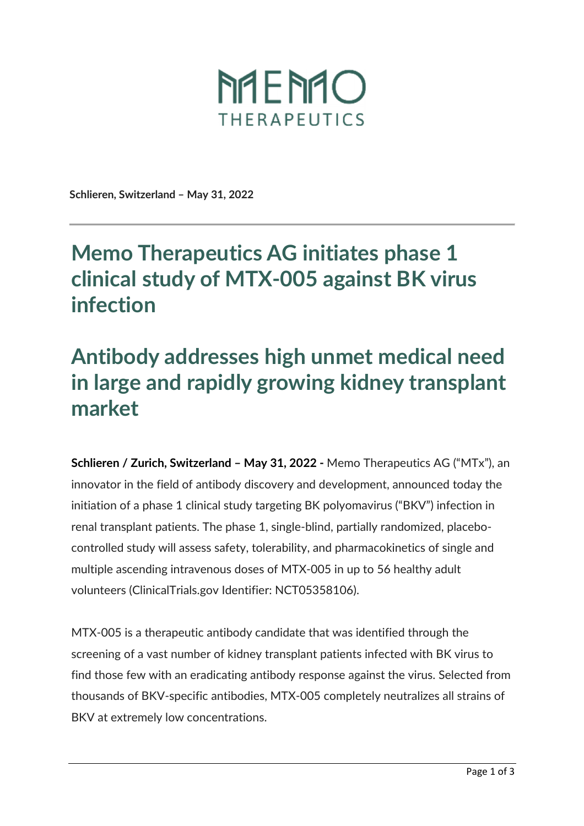

**Schlieren, Switzerland – May 31, 2022** 

## **Memo Therapeutics AG initiates phase 1 clinical study of MTX005 against BK virus infection**

## **Antibody addresses high unmet medical need in large and rapidly growing kidney transplant market**

**Schlieren / Zurich, Switzerland - May 31, 2022 - Memo Therapeutics AG ("MTx"), an** innovator in the field of antibody discovery and development, announced today the initiation of a phase 1 clinical study targeting BK polyomavirus ("BKV") infection in renal transplant patients. The phase 1, single-blind, partially randomized, placebocontrolled study will assess safety, tolerability, and pharmacokinetics of single and multiple ascending intravenous doses of MTX-005 in up to 56 healthy adult volunteers (ClinicalTrials.gov Identifier: NCT05358106).

MTX-005 is a therapeutic antibody candidate that was identified through the screening of a vast number of kidney transplant patients infected with BK virus to find those few with an eradicating antibody response against the virus. Selected from thousands of BKV-specific antibodies, MTX-005 completely neutralizes all strains of BKV at extremely low concentrations.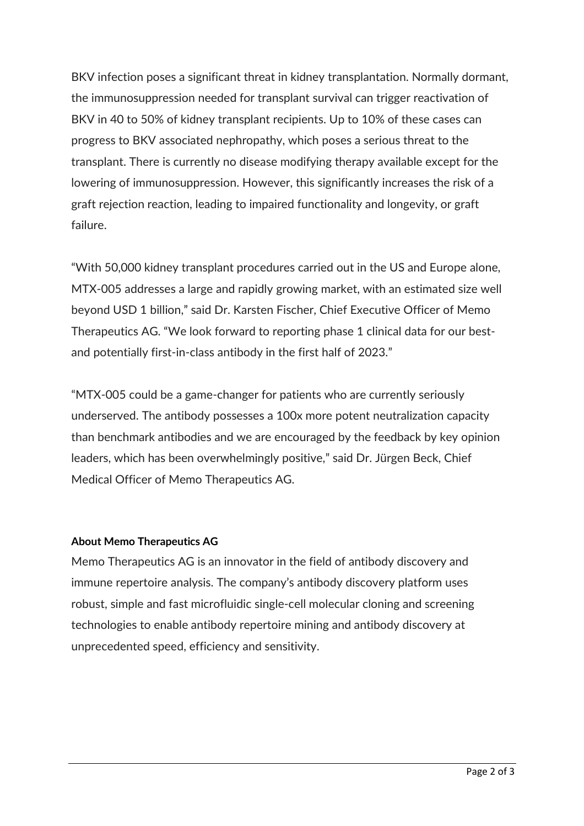BKV infection poses a significant threat in kidney transplantation. Normally dormant, the immunosuppression needed for transplant survival can trigger reactivation of BKV in 40 to 50% of kidney transplant recipients. Up to 10% of these cases can progress to BKV associated nephropathy, which poses a serious threat to the transplant. There is currently no disease modifying therapy available except for the lowering of immunosuppression. However, this significantly increases the risk of a graft rejection reaction, leading to impaired functionality and longevity, or graft failure.

"With 50,000 kidney transplant procedures carried out in the US and Europe alone, MTX-005 addresses a large and rapidly growing market, with an estimated size well beyond USD 1 billion," said Dr. Karsten Fischer, Chief Executive Officer of Memo Therapeutics AG. "We look forward to reporting phase 1 clinical data for our bestand potentially first-in-class antibody in the first half of 2023."

"MTX-005 could be a game-changer for patients who are currently seriously underserved. The antibody possesses a 100x more potent neutralization capacity than benchmark antibodies and we are encouraged by the feedback by key opinion leaders, which has been overwhelmingly positive," said Dr. Jürgen Beck, Chief Medical Officer of Memo Therapeutics AG.

## **About Memo Therapeutics AG**

Memo Therapeutics AG is an innovator in the field of antibody discovery and immune repertoire analysis. The company's antibody discovery platform uses robust, simple and fast microfluidic single-cell molecular cloning and screening technologies to enable antibody repertoire mining and antibody discovery at unprecedented speed, efficiency and sensitivity.